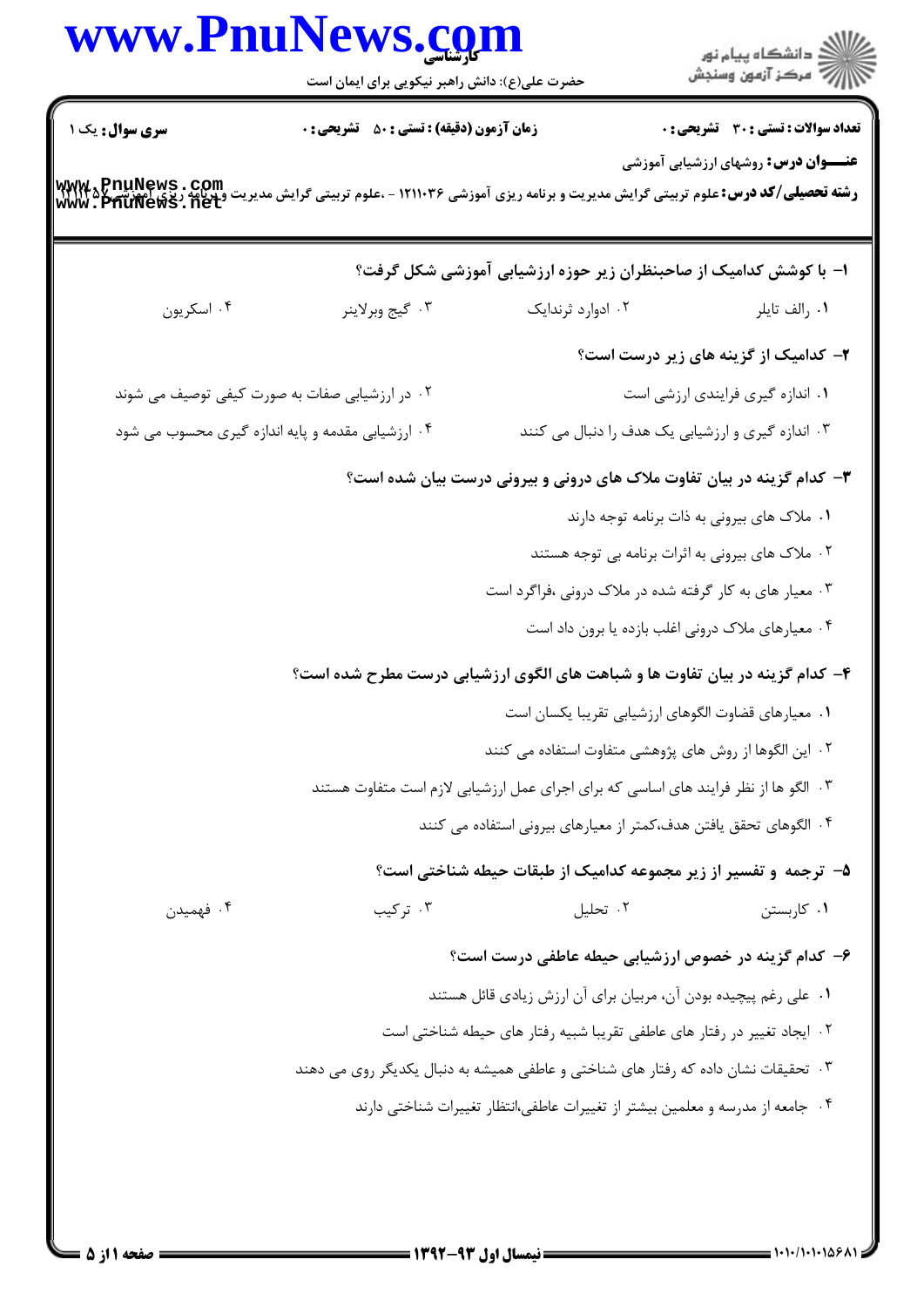|                | حضرت علی(ع): دانش راهبر نیکویی برای ایمان است                                                                                                                       |                                                                         | ر<br>دانشڪاه پيام نور)<br>اڳ مرڪز آزمون وسنڊش |
|----------------|---------------------------------------------------------------------------------------------------------------------------------------------------------------------|-------------------------------------------------------------------------|-----------------------------------------------|
| سری سوال: یک ۱ | زمان آزمون (دقیقه) : تستی : ۵۰٪ تشریحی : ۰                                                                                                                          |                                                                         | <b>تعداد سوالات : تستی : 30 ٪ تشریحی : 0</b>  |
|                | <b>رشته تحصیلی/کد درس: ع</b> لوم تربیتی گرایش مدیریت و برنامه ریزی آموزشی ۱۲۱۱۰۳۶ - ،علوم تربیتی گرایش مدیریت و پرنامه ریزی اهم ترتیب ۱۳۸۲۴۵<br>WWW • PhuNews • net |                                                                         | <b>عنـــوان درس:</b> روشهای ارزشیابی آموزشی   |
|                | ا– با کوشش کدامیک از صاحبنظران زیر حوزه ارزشیابی آموزشی شکل گرفت؟                                                                                                   |                                                                         |                                               |
| ۰۴ اسکریون     | ۰۳ گيج وبرلاينر                                                                                                                                                     | ۰۲ ادوارد ثرندایک                                                       | ٠١. رالف تايلر                                |
|                |                                                                                                                                                                     |                                                                         | ۲- کدامیک از گزینه های زیر درست است؟          |
|                | ۰۲ در ارزشیابی صفات به صورت کیفی توصیف می شوند                                                                                                                      |                                                                         | ۰۱ اندازه گیری فرایندی ارزشی است              |
|                | ۰۴ ارزشیابی مقدمه و پایه اندازه گیری محسوب می شود                                                                                                                   | ۰۳ اندازه گیری و ارزشیابی یک هدف را دنبال می کنند                       |                                               |
|                | ۳- کدام گزینه در بیان تفاوت ملاک های درونی و بیرونی درست بیان شده است؟                                                                                              |                                                                         |                                               |
|                |                                                                                                                                                                     |                                                                         | ٠١ ملاک های بیرونی به ذات برنامه توجه دارند   |
|                |                                                                                                                                                                     | ۰۲ ملاک های بیرونی به اثرات برنامه بی توجه هستند                        |                                               |
|                |                                                                                                                                                                     | ۰۳ معیار های به کار گرفته شده در ملاک درونی ،فراگرد است                 |                                               |
|                |                                                                                                                                                                     | ۰۴ معیارهای ملاک درونی اغلب بازده یا برون داد است                       |                                               |
|                | ۴- کدام گزینه در بیان تفاوت ها و شباهت های الگوی ارزشیابی درست مطرح شده است؟                                                                                        |                                                                         |                                               |
|                |                                                                                                                                                                     | ٠١. معيارهاي قضاوت الگوهاي ارزشيابي تقريبا يكسان است                    |                                               |
|                |                                                                                                                                                                     | ۰۲ این الگوها از روش های پژوهشی متفاوت استفاده می کنند                  |                                               |
|                | ۰۳ الگو ها از نظر فرایند های اساسی که برای اجرای عمل ارزشیابی لازم است متفاوت هستند                                                                                 |                                                                         |                                               |
|                |                                                                                                                                                                     | ۰۴ الگوهای تحقق یافتن هدف،کمتر از معیارهای بیرونی استفاده می کنند       |                                               |
|                |                                                                                                                                                                     | ۵– ترجمه و تفسیر از زیر مجموعه کدامیک از طبقات حیطه شناختی است؟         |                                               |
| ۰۴ فهمیدن      | ۰۳ ترکیب                                                                                                                                                            | ۰۲ تحليل                                                                | ٠١ كاربستن                                    |
|                |                                                                                                                                                                     | ۶– کدام گزینه در خصوص ارزشیابی حیطه عاطفی درست است؟                     |                                               |
|                |                                                                                                                                                                     | ٠١ على رغم پيچيده بودن آن، مربيان براي آن ارزش زيادي قائل هستند         |                                               |
|                |                                                                                                                                                                     | ۰۲ ایجاد تغییر در رفتار های عاطفی تقریبا شبیه رفتار های حیطه شناختی است |                                               |
|                | ۰۳ تحقیقات نشان داده که رفتار های شناختی و عاطفی همیشه به دنبال یکدیگر روی می دهند                                                                                  |                                                                         |                                               |
|                | ۰۴ جامعه از مدرسه و معلمین بیشتر از تغییرات عاطفی،انتظار تغییرات شناختی دارند                                                                                       |                                                                         |                                               |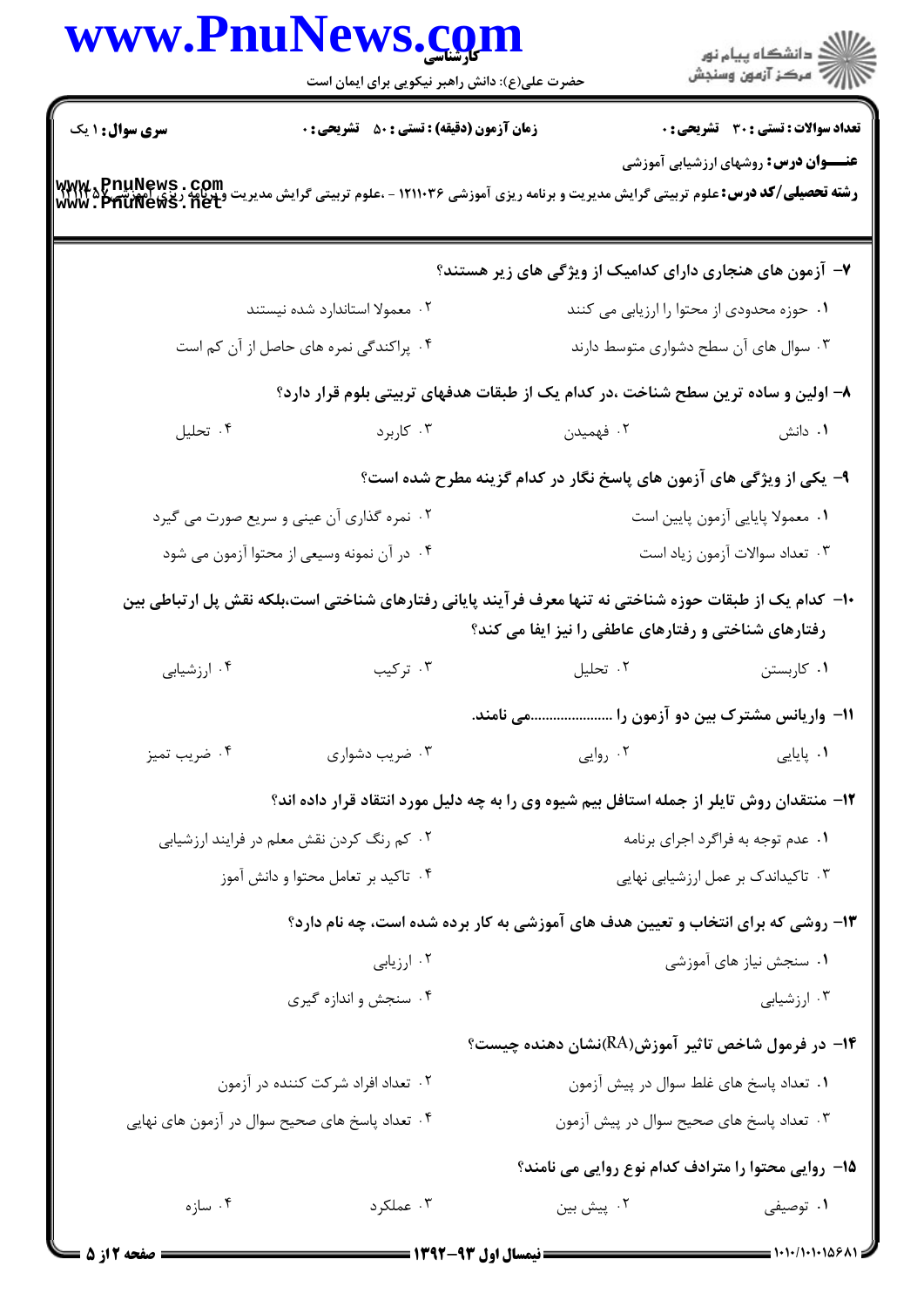|                                     | www.PnuNews.com<br>حضرت علی(ع): دانش راهبر نیکویی برای ایمان است                                                                              |                                                                     | ر<br>دانشڪاه پيام نور)<br>ا∛ مرڪز آزمون وسنڊش |
|-------------------------------------|-----------------------------------------------------------------------------------------------------------------------------------------------|---------------------------------------------------------------------|-----------------------------------------------|
| <b>سری سوال : ۱ یک</b>              | <b>زمان آزمون (دقیقه) : تستی : 50 ٪ تشریحی : 0</b>                                                                                            |                                                                     | <b>تعداد سوالات : تستی : 30 ٪ تشریحی : 0</b>  |
|                                     | <b>رشته تحصیلی/کد درس: ع</b> لوم تربیتی گرایش مدیریت و برنامه ریزی آموزشی ۱۲۱۱۰۳۶ - ،علوم تربیتی گرایش مدیریت پر ۱۳۷۲۵<br>WWW . PhuNews . net |                                                                     | <b>عنـــوان درس:</b> روشهای ارزشیابی آموزشی   |
|                                     |                                                                                                                                               | ۷- آزمون های هنجاری دارای کدامیک از ویژگی های زیر هستند؟            |                                               |
|                                     | ۰۲ معمولا استاندارد شده نیستند                                                                                                                |                                                                     | ۰۱ حوزه محدودی از محتوا را ارزیابی می کنند    |
|                                     | ۰۴ پراکندگی نمره های حاصل از آن کم است                                                                                                        |                                                                     | ۰۳ سوال های آن سطح دشواری متوسط دارند         |
|                                     | ۸– اولین و ساده ترین سطح شناخت ،در کدام یک از طبقات هدفهای تربیتی بلوم قرار دارد؟                                                             |                                                                     |                                               |
| ۰۴ تحليل                            | ا کاربرد $\cdot$ ۳                                                                                                                            | ۰۲ فهمیدن                                                           | ۰۱ دانش                                       |
|                                     |                                                                                                                                               | ۹- یکی از ویژگی های آزمون های پاسخ نگار در کدام گزینه مطرح شده است؟ |                                               |
|                                     | ۰۲ نمره گذاری آن عینی و سریع صورت می گیرد                                                                                                     |                                                                     | ۰۱ معمولا پایایی آزمون پایین است              |
|                                     | ۰۴ در آن نمونه وسیعی از محتوا آزمون می شود                                                                                                    |                                                                     | ۰۳ تعداد سوالات آزمون زياد است                |
|                                     | ∙ا− کدام یک از طبقات حوزه شناختی نه تنها معرف فرآیند پایانی رفتارهای شناختی است،بلکه نقش پل ارتباطی بین                                       | رفتارهای شناختی و رفتارهای عاطفی را نیز ایفا می کند؟                |                                               |
| ۰۴ ارزشیابی                         | ۰۳ ترکیب                                                                                                                                      | ۰۲ تحلیل                                                            | ۰۱ کاربستن                                    |
|                                     |                                                                                                                                               | 1۱– واریانس مشترک بین دو آزمون را می نامند.                         |                                               |
| ۰۴ ضریب تمیز                        | ۰۳ ضریب دشواری                                                                                                                                | ۰۲ روایی                                                            | ۰۱ پایایی                                     |
|                                     | ۱۲- منتقدان روش تایلر از جمله استافل بیم شیوه وی را به چه دلیل مورد انتقاد قرار داده اند؟                                                     |                                                                     |                                               |
|                                     | ۰۲ کم رنگ کردن نقش معلم در فرایند ارزشیابی                                                                                                    |                                                                     | ۰۱ عدم توجه به فراگرد اجرای برنامه            |
| ۰۴ تاکید بر تعامل محتوا و دانش آموز |                                                                                                                                               |                                                                     | ۰۳ تاکیداندک بر عمل ارزشیابی نهایی            |
|                                     | ۱۳- روشی که برای انتخاب و تعیین هدف های آموزشی به کار برده شده است، چه نام دارد؟                                                              |                                                                     |                                               |
|                                     | ۰۲ ارزیابی                                                                                                                                    |                                                                     | ۰۱ سنجش نیاز های آموزشی                       |
|                                     | ۰۴ سنجش و اندازه گیری                                                                                                                         |                                                                     | ۰۳ ارزشیابی                                   |
|                                     |                                                                                                                                               | ۰۱۴ در فرمول شاخص تاثیر آموزش(RA)نشان دهنده چیست؟                   |                                               |
|                                     | ۰۲ تعداد افراد شرکت کننده در آزمون                                                                                                            |                                                                     | ٠١ تعداد پاسخ های غلط سوال در پیش آزمون       |
|                                     | ۰۴ تعداد پاسخ های صحیح سوال در آزمون های نهایی                                                                                                |                                                                     | ۰۳ تعداد پاسخ های صحیح سوال در پیش آزمون      |
|                                     |                                                                                                                                               | 1۵- روایی محتوا را مترادف کدام نوع روایی می نامند؟                  |                                               |
| ۰۴ سازه                             | ۰۳ عملکرد                                                                                                                                     | ۰۲ پیش بین                                                          | ۰۱ توصیفی                                     |
|                                     |                                                                                                                                               |                                                                     |                                               |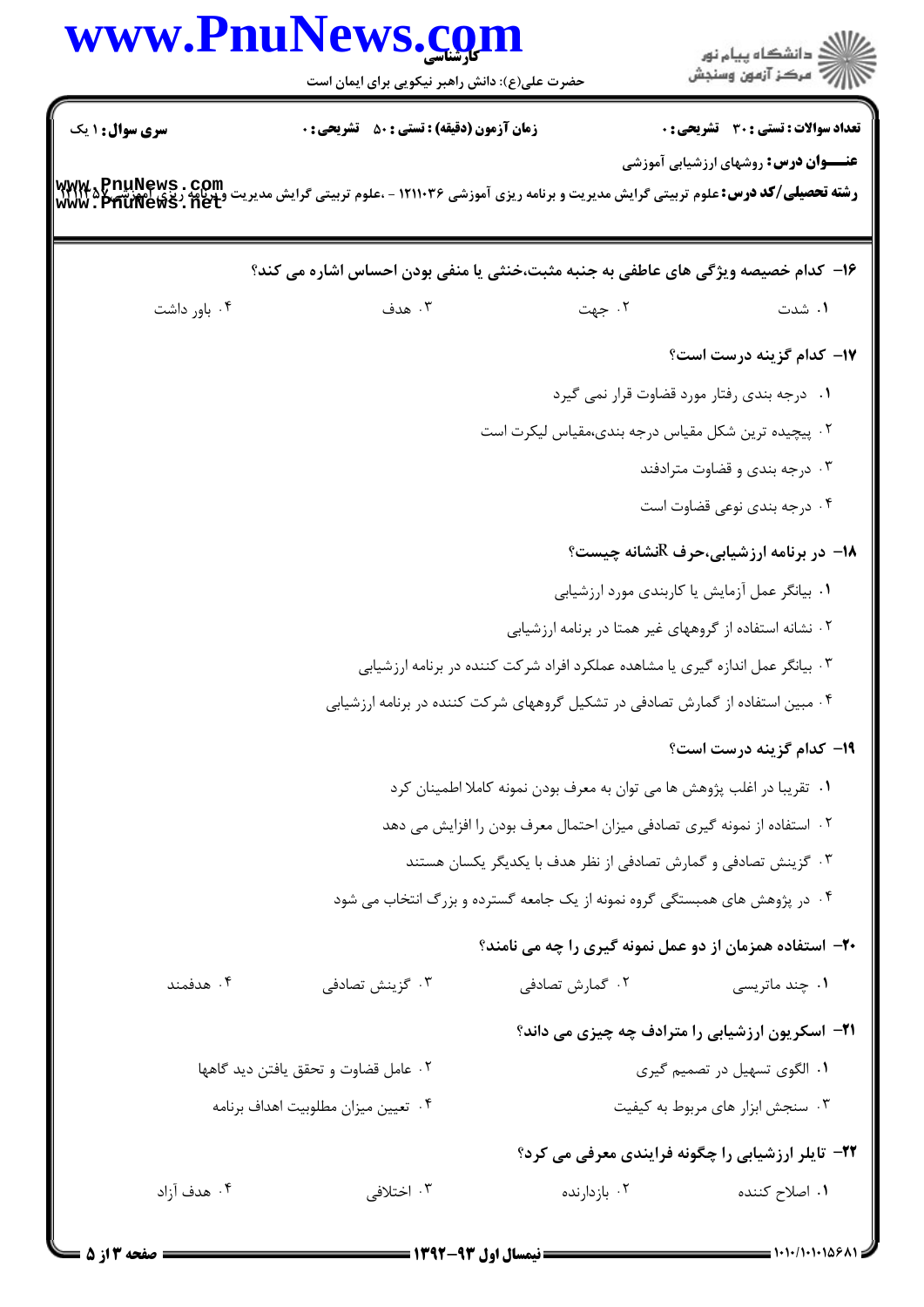|                        | www.PnuNews.com<br>حضرت علی(ع): دانش راهبر نیکویی برای ایمان است | ≦ دانشڪاه پيام نور<br>7 مرڪز آزمون وسنڊش                                                                                                                                                          |  |
|------------------------|------------------------------------------------------------------|---------------------------------------------------------------------------------------------------------------------------------------------------------------------------------------------------|--|
| <b>سری سوال :</b> ۱ یک | <b>زمان آزمون (دقیقه) : تستی : 50 ٪ تشریحی : 0</b>               | <b>تعداد سوالات : تستی : 30 ٪ تشریحی : 0</b>                                                                                                                                                      |  |
|                        |                                                                  | <b>عنـــوان درس:</b> روشهای ارزشیابی آموزشی<br><b>رشته تحصیلی/کد درس: علوم تربیتی گرایش مدیریت و برنامه ریزی آموزشی ۱۲۱۱۰۳۶ - ،علوم تربیتی گرایش مدیریت و پرنامه ریزی<br/>Www . PhuNews . net</b> |  |
|                        |                                                                  | ۱۶- کدام خصیصه ویژگی های عاطفی به جنبه مثبت،خنثی یا منفی بودن احساس اشاره می کند؟                                                                                                                 |  |
| ۰۴ باور داشت           | ۰۳ هدف                                                           | ۰۲ جهت<br>۰۱ شدت                                                                                                                                                                                  |  |
|                        |                                                                  | ۱۷- کدام گزینه درست است؟                                                                                                                                                                          |  |
|                        |                                                                  | ۰۱ درجه بندی رفتار مورد قضاوت قرار نمی گیرد                                                                                                                                                       |  |
|                        |                                                                  | ۰۲ پیچیده ترین شکل مقیاس درجه بندی،مقیاس لیکرت است                                                                                                                                                |  |
|                        |                                                                  | ۰۳ درجه بندی و قضاوت مترادفند                                                                                                                                                                     |  |
|                        |                                                                  | ۰۴ درجه بندی نوعی قضاوت است                                                                                                                                                                       |  |
|                        |                                                                  | <b>۱۸</b> - در برنامه ارزشیابی،حرف <sup>R</sup> نشانه چیست؟                                                                                                                                       |  |
|                        |                                                                  | ۰۱ بیانگر عمل آزمایش یا کاربندی مورد ارزشیابی                                                                                                                                                     |  |
|                        |                                                                  | ۰۲ نشانه استفاده از گروههای غیر همتا در برنامه ارزشیابی                                                                                                                                           |  |
|                        |                                                                  | ۰۳ بیانگر عمل اندازه گیری یا مشاهده عملکرد افراد شرکت کننده در برنامه ارزشیابی                                                                                                                    |  |
|                        |                                                                  | ۰۲ مبین استفاده از گمارش تصادفی در تشکیل گروههای شرکت کننده در برنامه ارزشیابی                                                                                                                    |  |
|                        |                                                                  | 1۹- کدام گزینه درست است؟                                                                                                                                                                          |  |
|                        |                                                                  | ٠١ تقريبا در اغلب پژوهش ها مي توان به معرف بودن نمونه كاملا اطمينان كرد                                                                                                                           |  |
|                        |                                                                  | ٠٢ استفاده از نمونه گيري تصادفي ميزان احتمال معرف بودن را افزايش مي دهد                                                                                                                           |  |
|                        |                                                                  | ۰۳ گزینش تصادفی و گمارش تصادفی از نظر هدف با یکدیگر یکسان هستند                                                                                                                                   |  |
|                        |                                                                  | ۰۴ در پژوهش های همبستگی گروه نمونه از یک جامعه گسترده و بزرگ انتخاب می شود                                                                                                                        |  |
|                        |                                                                  | ۲۰- استفاده همزمان از دو عمل نمونه گیری را چه می نامند؟                                                                                                                                           |  |
| ۰۴ هدفمند              | ۰۳ گزینش تصادفی                                                  | ۰۲ گمارش تصادفی<br>۰۱ چند ماتریسی                                                                                                                                                                 |  |
|                        |                                                                  | <b>۲۱</b> - اسکریون ارزشیابی را مترادف چه چیزی می داند؟                                                                                                                                           |  |
|                        | ٠٢ عامل قضاوت و تحقق يافتن ديد گاهها                             | ۰۱ الگوی تسهیل در تصمیم گیری                                                                                                                                                                      |  |
|                        | ۰۴ تعيين ميزان مطلوبيت اهداف برنامه                              | ۰۳ سنجش ابزار های مربوط به کیفیت                                                                                                                                                                  |  |
|                        |                                                                  | ۲۲- تایلر ارزشیابی را چگونه فرایندی معرفی می کرد؟                                                                                                                                                 |  |
| ۰۴ هدف آزاد            | ۰۳ اختلافی                                                       | ۰۲ بازدارنده<br>۰۱ اصلاح کننده                                                                                                                                                                    |  |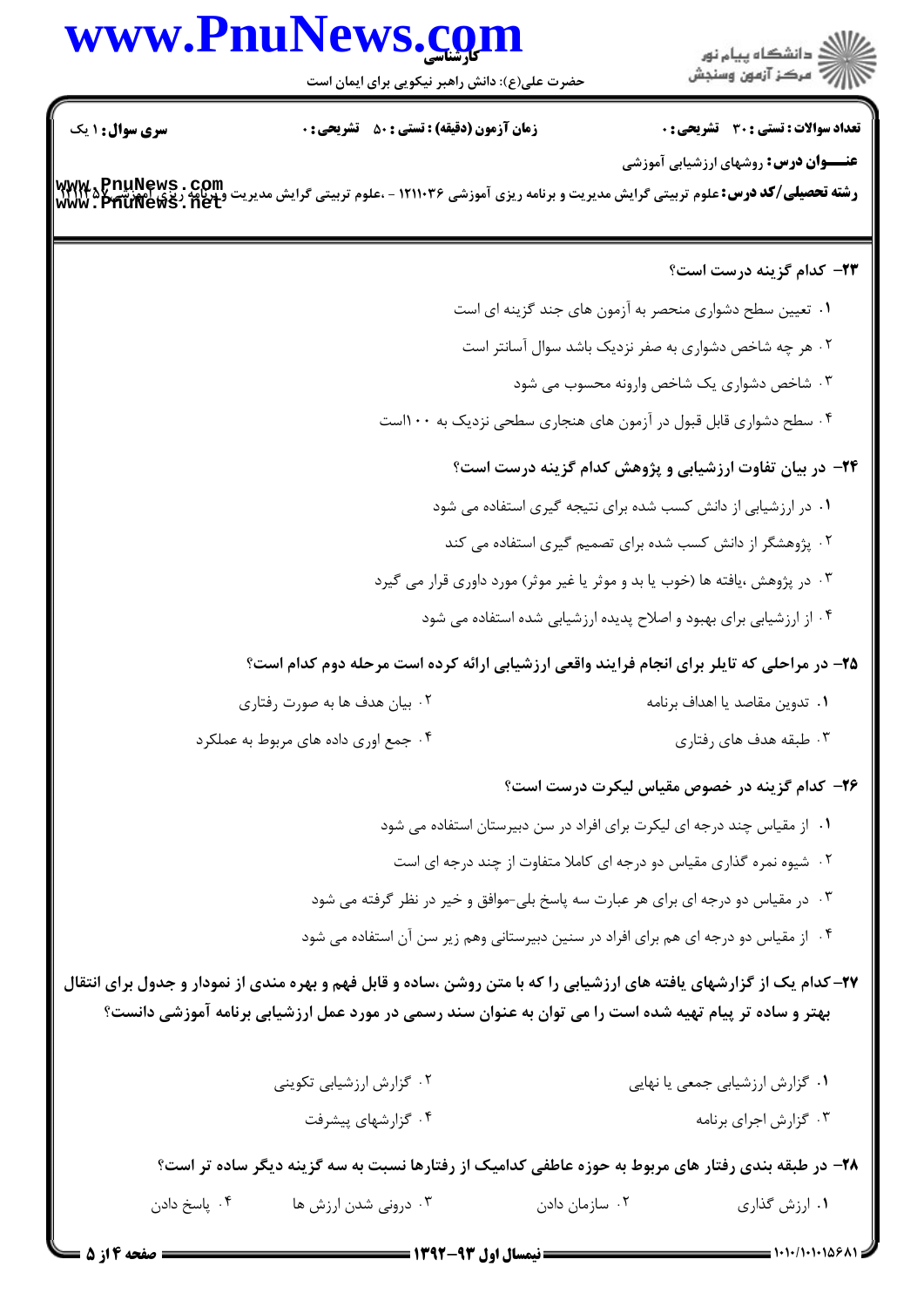# www.PnuNews.co

حضرت علی(ع): دانش راهبر نیکویی برای ایمان است



**تعداد سوالات : تستی : 30 ٪ تشریحی : 0** 

**عنـــوان درس:** روشهای ارزشیابی آموزشی

**زمان آزمون (دقیقه) : تستی : 50 ٪ تشریحی: 0** 

<mark>سری سوال :</mark> ۱ یک

**رشته تحصیلی/کد درس:**علوم تربیتی گرایش مدیریت و برنامه ریزی آموزشی ۱۲۱۱۰۳۶ - ،علوم تربیتی گرایش مدیریت و برنامه ریزی<br>www . PfiuNews . net

## ٢٣- كدام گزينه درست است؟

۰۱ تعیین سطح دشواری منحصر به آزمون های جند گزینه ای است ۰۲ هر چه شاخص دشواری به صفر نزدیک باشد سوال آسانتر است

۰۳ شاخص دشواری یک شاخص وارونه محسوب می شود

۰۴ سطح دشواری قابل قبول در آزمون های هنجاری سطحی نزدیک به ۱۰۰است

# **۲۴**- در بیان تفاوت ارزشیابی و پژوهش کدام گزینه درست است؟

۰۱ در ارزشیابی از دانش کسب شده برای نتیجه گیری استفاده می شود

- <sup>۲</sup>۰ پژوهشگر از دانش کسب شده برای تصمیم گیری استفاده می کند
- ۰۳ در پژوهش ،یافته ها (خوب یا بد و موثر یا غیر موثر) مورد داوری قرار می گیرد
	- ۰۴ از ارزشیابی برای بهبود و اصلاح پدیده ارزشیابی شده استفاده می شود

#### ۲۵- در مراحلی که تایلر برای انجام فرایند واقعی ارزشیابی ارائه کرده است مرحله دوم کدام است؟

| ۰۲ بیان هدف ها به صورت رفتاری        | ٠١ تدوين مقاصد يا اهداف برنامه |
|--------------------------------------|--------------------------------|
| ۰۴ جمع اوری داده های مربوط به عملکرد | ۰۳ طبقه هدف های رفتاری         |

## ۲۶– کدام گزینه در خصوص مقیاس لیکرت درست است؟

- ۰۱ از مقیاس چند درجه ای لیکرت برای افراد در سن دبیرستان استفاده می شود
- ۲۰ شیوه نمره گذاری مقیاس دو درجه ای کاملا متفاوت از چند درجه ای است
- ۰۳ در مقیاس دو درجه ای برای هر عبارت سه پاسخ بلی-موافق و خیر در نظر گرفته می شود
- ۰۴ از مقیاس دو درجه ای هم برای افراد در سنین دبیرستانی وهم زیر سن آن استفاده می شود

۲۷– کدام یک از گزارشهای یافته های ارزشیابی را که با متن روشن ،ساده و قابل فهم و بهره مندی از نمودار و جدول برای انتقال بهتر و ساده تر پیام تهیه شده است را می توان به عنوان سند رسمی در مورد عمل ارزشیابی برنامه آموزشی دانست؟

| ۰۲ گزارش ارزشیابی تکوینی | ۰۱ گزارش ارزشیابی جمعی یا نهایی |
|--------------------------|---------------------------------|
| ۰۴ گزارشهای پیشرفت       | ۰۳ گزارش اجرای برنامه           |

۰۲ سازمان دادن

۲۸- در طبقه بندی رفتار های مربوط به حوزه عاطفی کدامیک از رفتارها نسبت به سه گزینه دیگر ساده تر است؟

۰۱ ارزش گذاری

۰۳ درونی شدن ارزش ها

۰۴ ياسخ دادن